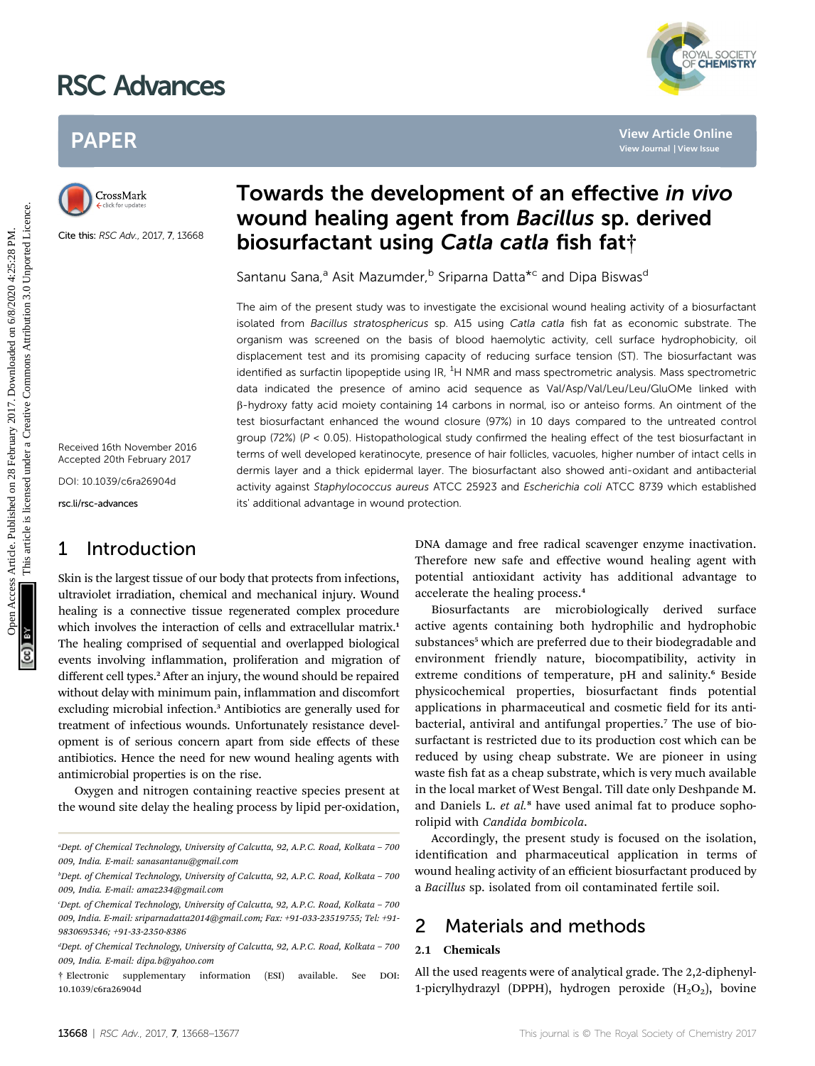# RSC Advances

# PAPER



Cite this: RSC Adv., 2017, 7, 13668

Received 16th November 2016 Accepted 20th February 2017

DOI: 10.1039/c6ra26904d

rsc.li/rsc-advances

# 1 Introduction

Skin is the largest tissue of our body that protects from infections, ultraviolet irradiation, chemical and mechanical injury. Wound healing is a connective tissue regenerated complex procedure which involves the interaction of cells and extracellular matrix.<sup>1</sup> The healing comprised of sequential and overlapped biological events involving inflammation, proliferation and migration of different cell types.<sup>2</sup> After an injury, the wound should be repaired without delay with minimum pain, inflammation and discomfort excluding microbial infection.<sup>3</sup> Antibiotics are generally used for treatment of infectious wounds. Unfortunately resistance development is of serious concern apart from side effects of these antibiotics. Hence the need for new wound healing agents with antimicrobial properties is on the rise.

Oxygen and nitrogen containing reactive species present at the wound site delay the healing process by lipid per-oxidation,

# Towards the development of an effective in vivo wound healing agent from Bacillus sp. derived biosurfactant using Catla catla fish fat†

Santanu Sana,<sup>a</sup> Asit Mazumder,<sup>b</sup> Sriparna Datta<sup>\*c</sup> and Dipa Biswas<sup>d</sup>

The aim of the present study was to investigate the excisional wound healing activity of a biosurfactant isolated from Bacillus stratosphericus sp. A15 using Catla catla fish fat as economic substrate. The organism was screened on the basis of blood haemolytic activity, cell surface hydrophobicity, oil displacement test and its promising capacity of reducing surface tension (ST). The biosurfactant was identified as surfactin lipopeptide using IR, <sup>1</sup>H NMR and mass spectrometric analysis. Mass spectrometric data indicated the presence of amino acid sequence as Val/Asp/Val/Leu/Leu/GluOMe linked with b-hydroxy fatty acid moiety containing 14 carbons in normal, iso or anteiso forms. An ointment of the test biosurfactant enhanced the wound closure (97%) in 10 days compared to the untreated control group (72%) ( $P < 0.05$ ). Histopathological study confirmed the healing effect of the test biosurfactant in terms of well developed keratinocyte, presence of hair follicles, vacuoles, higher number of intact cells in dermis layer and a thick epidermal layer. The biosurfactant also showed anti-oxidant and antibacterial activity against Staphylococcus aureus ATCC 25923 and Escherichia coli ATCC 8739 which established its' additional advantage in wound protection. PAPER<br>
Closs Mack **Towards the development of an effective in vivo<br>
wound healing agent from Bacillus sp. derived<br>
Similar and the properties of the state of the state of the state of the state of the state of the state o** 

DNA damage and free radical scavenger enzyme inactivation. Therefore new safe and effective wound healing agent with potential antioxidant activity has additional advantage to accelerate the healing process.<sup>4</sup>

YAL SOCIETY<br>**CHEMISTRY** 

Biosurfactants are microbiologically derived surface active agents containing both hydrophilic and hydrophobic substances<sup>5</sup> which are preferred due to their biodegradable and environment friendly nature, biocompatibility, activity in extreme conditions of temperature, pH and salinity.<sup>6</sup> Beside physicochemical properties, biosurfactant finds potential applications in pharmaceutical and cosmetic field for its antibacterial, antiviral and antifungal properties.<sup>7</sup> The use of biosurfactant is restricted due to its production cost which can be reduced by using cheap substrate. We are pioneer in using waste fish fat as a cheap substrate, which is very much available in the local market of West Bengal. Till date only Deshpande M. and Daniels L.  $et$   $al$ <sup>8</sup> have used animal fat to produce sophorolipid with Candida bombicola.

Accordingly, the present study is focused on the isolation, identification and pharmaceutical application in terms of wound healing activity of an efficient biosurfactant produced by a Bacillus sp. isolated from oil contaminated fertile soil.

### 2 Materials and methods

#### 2.1 Chemicals

All the used reagents were of analytical grade. The 2,2-diphenyl-1-picrylhydrazyl (DPPH), hydrogen peroxide  $(H_2O_2)$ , bovine

a Dept. of Chemical Technology, University of Calcutta, 92, A.P.C. Road, Kolkata – 700 009, India. E-mail: sanasantanu@gmail.com

b Dept. of Chemical Technology, University of Calcutta, 92, A.P.C. Road, Kolkata – 700 009, India. E-mail: amaz234@gmail.com

c Dept. of Chemical Technology, University of Calcutta, 92, A.P.C. Road, Kolkata – 700 009, India. E-mail: sriparnadatta2014@gmail.com; Fax: +91-033-23519755; Tel: +91- 9830695346; +91-33-2350-8386

<sup>&</sup>lt;sup>a</sup>Dept. of Chemical Technology, University of Calcutta, 92, A.P.C. Road, Kolkata - 700 009, India. E-mail: dipa.b@yahoo.com

<sup>†</sup> Electronic supplementary information (ESI) available. See DOI: 10.1039/c6ra26904d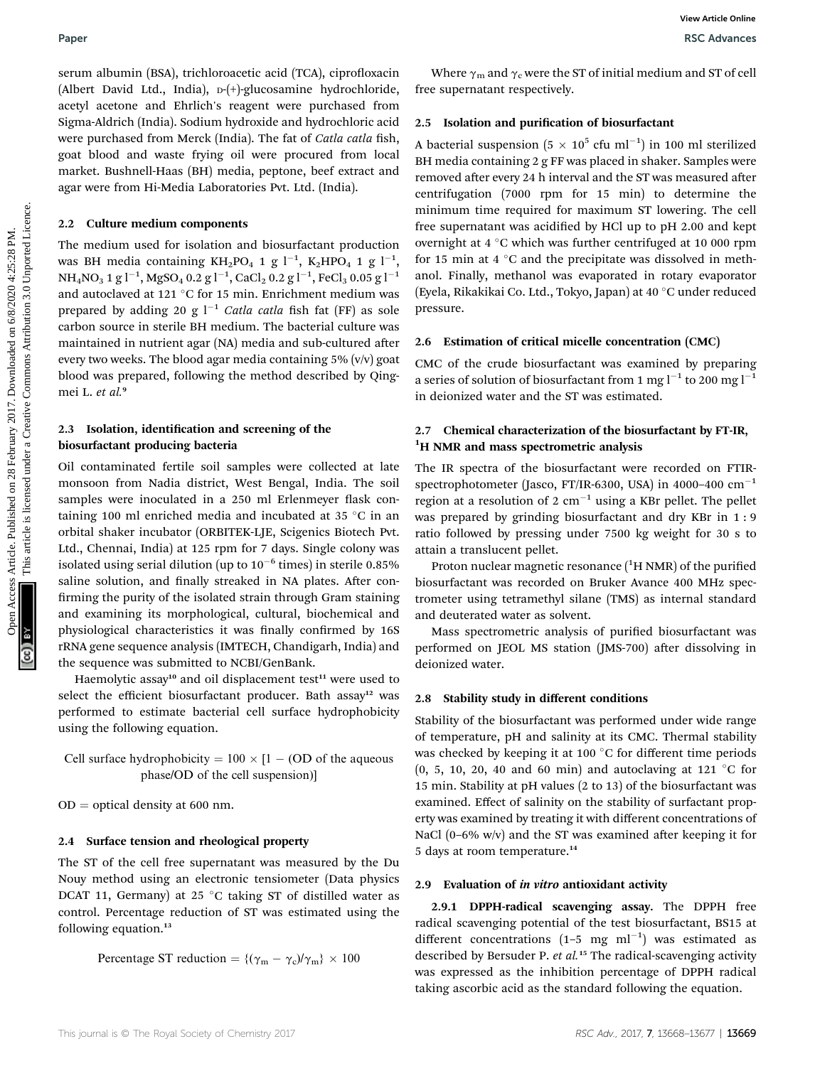serum albumin (BSA), trichloroacetic acid (TCA), ciprofloxacin (Albert David Ltd., India), D-(+)-glucosamine hydrochloride, acetyl acetone and Ehrlich's reagent were purchased from Sigma-Aldrich (India). Sodium hydroxide and hydrochloric acid were purchased from Merck (India). The fat of Catla catla fish, goat blood and waste frying oil were procured from local market. Bushnell-Haas (BH) media, peptone, beef extract and agar were from Hi-Media Laboratories Pvt. Ltd. (India).

#### 2.2 Culture medium components

The medium used for isolation and biosurfactant production was BH media containing KH<sub>2</sub>PO<sub>4</sub> 1 g l<sup>-1</sup>, K<sub>2</sub>HPO<sub>4</sub> 1 g l<sup>-1</sup>, NH<sub>4</sub>NO<sub>3</sub> 1 g l<sup>-1</sup>, MgSO<sub>4</sub> 0.2 g l<sup>-1</sup>, CaCl<sub>2</sub> 0.2 g l<sup>-1</sup>, FeCl<sub>3</sub> 0.05 g l<sup>-1</sup> and autoclaved at 121 °C for 15 min. Enrichment medium was prepared by adding 20 g  $I^{-1}$  Catla catla fish fat (FF) as sole carbon source in sterile BH medium. The bacterial culture was maintained in nutrient agar (NA) media and sub-cultured after every two weeks. The blood agar media containing 5% (v/v) goat blood was prepared, following the method described by Qingmei L. et al.<sup>9</sup>

#### 2.3 Isolation, identification and screening of the biosurfactant producing bacteria

Oil contaminated fertile soil samples were collected at late monsoon from Nadia district, West Bengal, India. The soil samples were inoculated in a 250 ml Erlenmeyer flask containing 100 ml enriched media and incubated at 35  $\degree$ C in an orbital shaker incubator (ORBITEK-LJE, Scigenics Biotech Pvt. Ltd., Chennai, India) at 125 rpm for 7 days. Single colony was isolated using serial dilution (up to  $10^{-6}$  times) in sterile 0.85% saline solution, and finally streaked in NA plates. After confirming the purity of the isolated strain through Gram staining and examining its morphological, cultural, biochemical and physiological characteristics it was finally confirmed by 16S rRNA gene sequence analysis (IMTECH, Chandigarh, India) and the sequence was submitted to NCBI/GenBank.

Haemolytic assay<sup>10</sup> and oil displacement test<sup>11</sup> were used to select the efficient biosurfactant producer. Bath assay<sup>12</sup> was performed to estimate bacterial cell surface hydrophobicity using the following equation.

Cell surface hydrophobicity =  $100 \times [1 - (OD)$  of the aqueous phase/OD of the cell suspension)]

 $OD =$  optical density at 600 nm.

#### 2.4 Surface tension and rheological property

The ST of the cell free supernatant was measured by the Du Nouy method using an electronic tensiometer (Data physics DCAT 11, Germany) at 25  $^{\circ}$ C taking ST of distilled water as control. Percentage reduction of ST was estimated using the following equation.<sup>13</sup>

Percentage ST reduction =  $\{(\gamma_m - \gamma_c)/\gamma_m\} \times 100$ 

Where  $\gamma_m$  and  $\gamma_c$  were the ST of initial medium and ST of cell free supernatant respectively.

#### 2.5 Isolation and purification of biosurfactant

A bacterial suspension  $(5 \times 10^5 \text{ cfu m}^{-1})$  in 100 ml sterilized BH media containing 2 g FF was placed in shaker. Samples were removed after every 24 h interval and the ST was measured after centrifugation (7000 rpm for 15 min) to determine the minimum time required for maximum ST lowering. The cell free supernatant was acidified by HCl up to pH 2.00 and kept overnight at  $4 °C$  which was further centrifuged at 10 000 rpm for 15 min at 4  $\degree$ C and the precipitate was dissolved in methanol. Finally, methanol was evaporated in rotary evaporator (Eyela, Rikakikai Co. Ltd., Tokyo, Japan) at 40 °C under reduced pressure. Paper<br>
Second Bank (1854), tricla. Torey the published on 28 February 2017. The contract area creative to the February 2017. The contract article is limited to the set of the set of the set of the set of the set of the se

#### 2.6 Estimation of critical micelle concentration (CMC)

CMC of the crude biosurfactant was examined by preparing a series of solution of biosurfactant from 1 mg  $l^{-1}$  to 200 mg  $l^{-1}$ in deionized water and the ST was estimated.

### 2.7 Chemical characterization of the biosurfactant by FT-IR, <sup>1</sup>H NMR and mass spectrometric analysis

The IR spectra of the biosurfactant were recorded on FTIRspectrophotometer (Jasco, FT/IR-6300, USA) in 4000-400  $cm^{-1}$ region at a resolution of 2  $cm^{-1}$  using a KBr pellet. The pellet was prepared by grinding biosurfactant and dry KBr in 1 : 9 ratio followed by pressing under 7500 kg weight for 30 s to attain a translucent pellet.

Proton nuclear magnetic resonance  $(^1H$  NMR) of the purified biosurfactant was recorded on Bruker Avance 400 MHz spectrometer using tetramethyl silane (TMS) as internal standard and deuterated water as solvent.

Mass spectrometric analysis of purified biosurfactant was performed on JEOL MS station (JMS-700) after dissolving in deionized water.

#### 2.8 Stability study in different conditions

Stability of the biosurfactant was performed under wide range of temperature, pH and salinity at its CMC. Thermal stability was checked by keeping it at 100 $\degree$ C for different time periods  $(0, 5, 10, 20, 40, 60, 60, 60)$  and autoclaving at 121 °C for 15 min. Stability at pH values (2 to 13) of the biosurfactant was examined. Effect of salinity on the stability of surfactant property was examined by treating it with different concentrations of NaCl  $(0-6\%$  w/v) and the ST was examined after keeping it for 5 days at room temperature.<sup>14</sup>

#### 2.9 Evaluation of in vitro antioxidant activity

2.9.1 DPPH-radical scavenging assay. The DPPH free radical scavenging potential of the test biosurfactant, BS15 at different concentrations  $(1-5 \text{ mg ml}^{-1})$  was estimated as described by Bersuder P. et al.<sup>15</sup> The radical-scavenging activity was expressed as the inhibition percentage of DPPH radical taking ascorbic acid as the standard following the equation.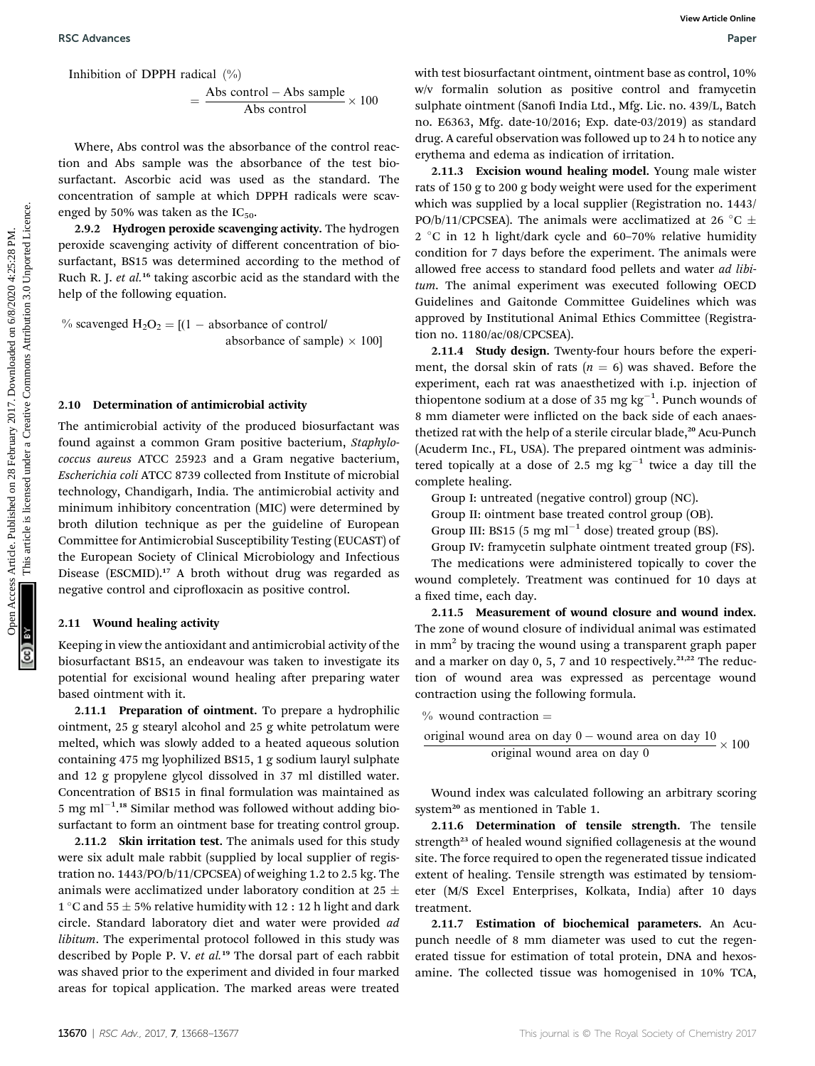Inhibition of DPPH radical  $(\% )$ 

$$
= \frac{\text{Abs control} - \text{Abs sample}}{\text{Abs control}} \times 100
$$

Where, Abs control was the absorbance of the control reaction and Abs sample was the absorbance of the test biosurfactant. Ascorbic acid was used as the standard. The concentration of sample at which DPPH radicals were scavenged by 50% was taken as the  $IC_{50}$ .

2.9.2 Hydrogen peroxide scavenging activity. The hydrogen peroxide scavenging activity of different concentration of biosurfactant, BS15 was determined according to the method of Ruch R. J. et al.<sup>16</sup> taking ascorbic acid as the standard with the help of the following equation.

% scavenged  $H_2O_2 = [(1 - absorbance of control]/$ absorbance of sample)  $\times$  100]

#### 2.10 Determination of antimicrobial activity

The antimicrobial activity of the produced biosurfactant was found against a common Gram positive bacterium, Staphylococcus aureus ATCC 25923 and a Gram negative bacterium, Escherichia coli ATCC 8739 collected from Institute of microbial technology, Chandigarh, India. The antimicrobial activity and minimum inhibitory concentration (MIC) were determined by broth dilution technique as per the guideline of European Committee for Antimicrobial Susceptibility Testing (EUCAST) of the European Society of Clinical Microbiology and Infectious Disease (ESCMID).<sup>17</sup> A broth without drug was regarded as negative control and ciprofloxacin as positive control.

#### 2.11 Wound healing activity

Keeping in view the antioxidant and antimicrobial activity of the biosurfactant BS15, an endeavour was taken to investigate its potential for excisional wound healing after preparing water based ointment with it.

2.11.1 Preparation of ointment. To prepare a hydrophilic ointment, 25 g stearyl alcohol and 25 g white petrolatum were melted, which was slowly added to a heated aqueous solution containing 475 mg lyophilized BS15, 1 g sodium lauryl sulphate and 12 g propylene glycol dissolved in 37 ml distilled water. Concentration of BS15 in final formulation was maintained as 5 mg ml<sup> $-1$ </sup>.<sup>18</sup> Similar method was followed without adding biosurfactant to form an ointment base for treating control group.

2.11.2 Skin irritation test. The animals used for this study were six adult male rabbit (supplied by local supplier of registration no. 1443/PO/b/11/CPCSEA) of weighing 1.2 to 2.5 kg. The animals were acclimatized under laboratory condition at 25  $\pm$ 1 °C and 55  $\pm$  5% relative humidity with 12 : 12 h light and dark circle. Standard laboratory diet and water were provided ad libitum. The experimental protocol followed in this study was described by Pople P. V. et al.<sup>19</sup> The dorsal part of each rabbit was shaved prior to the experiment and divided in four marked areas for topical application. The marked areas were treated

with test biosurfactant ointment, ointment base as control, 10% w/v formalin solution as positive control and framycetin sulphate ointment (Sanofi India Ltd., Mfg. Lic. no. 439/L, Batch no. E6363, Mfg. date-10/2016; Exp. date-03/2019) as standard drug. A careful observation was followed up to 24 h to notice any erythema and edema as indication of irritation.

2.11.3 Excision wound healing model. Young male wister rats of 150 g to 200 g body weight were used for the experiment which was supplied by a local supplier (Registration no. 1443/ PO/b/11/CPCSEA). The animals were acclimatized at 26 °C  $\pm$  $2 °C$  in 12 h light/dark cycle and 60-70% relative humidity condition for 7 days before the experiment. The animals were allowed free access to standard food pellets and water *ad libi*tum. The animal experiment was executed following OECD Guidelines and Gaitonde Committee Guidelines which was approved by Institutional Animal Ethics Committee (Registration no. 1180/ac/08/CPCSEA). BSC Advances<br>
Facinities of Control - Also control - Also control - Also control - Also control - Also control - Also control - Also control - Also control - Also control - Also control - Also control - Also control - Als

2.11.4 Study design. Twenty-four hours before the experiment, the dorsal skin of rats ( $n = 6$ ) was shaved. Before the experiment, each rat was anaesthetized with i.p. injection of thiopentone sodium at a dose of 35 mg  $\text{kg}^{-1}$ . Punch wounds of 8 mm diameter were inflicted on the back side of each anaesthetized rat with the help of a sterile circular blade,<sup>20</sup> Acu-Punch (Acuderm Inc., FL, USA). The prepared ointment was administered topically at a dose of 2.5 mg  $kg^{-1}$  twice a day till the complete healing.

Group I: untreated (negative control) group (NC).

Group II: ointment base treated control group (OB).

Group III: BS15 (5 mg ml<sup>-1</sup> dose) treated group (BS).

Group IV: framycetin sulphate ointment treated group (FS). The medications were administered topically to cover the wound completely. Treatment was continued for 10 days at a fixed time, each day.

2.11.5 Measurement of wound closure and wound index. The zone of wound closure of individual animal was estimated in  $mm<sup>2</sup>$  by tracing the wound using a transparent graph paper and a marker on day 0, 5, 7 and 10 respectively.<sup>21,22</sup> The reduction of wound area was expressed as percentage wound contraction using the following formula.

% wound contraction =  
original wound area on day 0 – wound area on day 10  
original wound area on day 0  

$$
\times 100
$$

Wound index was calculated following an arbitrary scoring system<sup>20</sup> as mentioned in Table 1.

2.11.6 Determination of tensile strength. The tensile strength<sup>23</sup> of healed wound signified collagenesis at the wound site. The force required to open the regenerated tissue indicated extent of healing. Tensile strength was estimated by tensiometer (M/S Excel Enterprises, Kolkata, India) after 10 days treatment.

2.11.7 Estimation of biochemical parameters. An Acupunch needle of 8 mm diameter was used to cut the regenerated tissue for estimation of total protein, DNA and hexosamine. The collected tissue was homogenised in 10% TCA,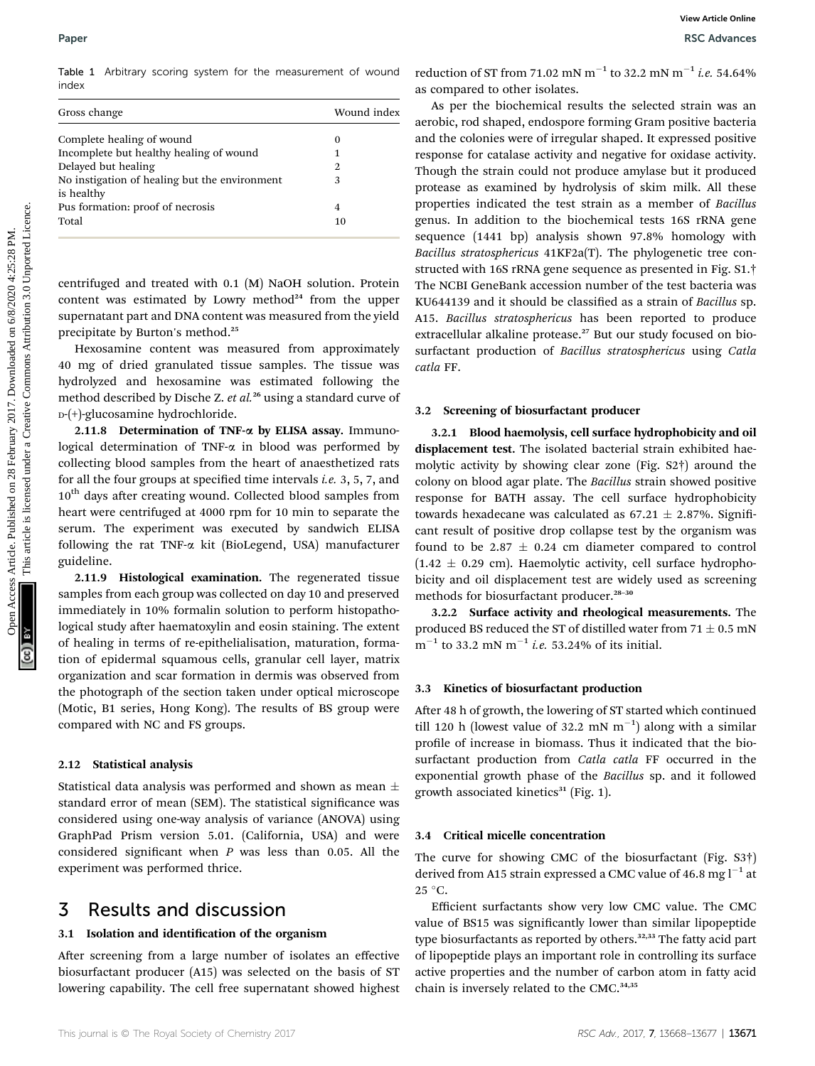Table 1 Arbitrary scoring system for the measurement of wound index

| Gross change                                                | Wound index |
|-------------------------------------------------------------|-------------|
| Complete healing of wound                                   | $\theta$    |
| Incomplete but healthy healing of wound                     |             |
| Delayed but healing                                         | 2           |
| No instigation of healing but the environment<br>is healthy | 3           |
| Pus formation: proof of necrosis                            | 4           |
| Total                                                       | 10          |

centrifuged and treated with 0.1 (M) NaOH solution. Protein content was estimated by Lowry method $24$  from the upper supernatant part and DNA content was measured from the yield precipitate by Burton's method.<sup>25</sup>

Hexosamine content was measured from approximately 40 mg of dried granulated tissue samples. The tissue was hydrolyzed and hexosamine was estimated following the method described by Dische Z. et al.<sup>26</sup> using a standard curve of D-(+)-glucosamine hydrochloride.

2.11.8 Determination of TNF- $\alpha$  by ELISA assay. Immunological determination of TNF- $\alpha$  in blood was performed by collecting blood samples from the heart of anaesthetized rats for all the four groups at specified time intervals *i.e.* 3, 5, 7, and  $10^{th}$  days after creating wound. Collected blood samples from heart were centrifuged at 4000 rpm for 10 min to separate the serum. The experiment was executed by sandwich ELISA following the rat TNF-a kit (BioLegend, USA) manufacturer guideline.

2.11.9 Histological examination. The regenerated tissue samples from each group was collected on day 10 and preserved immediately in 10% formalin solution to perform histopathological study after haematoxylin and eosin staining. The extent of healing in terms of re-epithelialisation, maturation, formation of epidermal squamous cells, granular cell layer, matrix organization and scar formation in dermis was observed from the photograph of the section taken under optical microscope (Motic, B1 series, Hong Kong). The results of BS group were compared with NC and FS groups.

#### 2.12 Statistical analysis

Statistical data analysis was performed and shown as mean  $\pm$ standard error of mean (SEM). The statistical significance was considered using one-way analysis of variance (ANOVA) using GraphPad Prism version 5.01. (California, USA) and were considered significant when  $P$  was less than 0.05. All the experiment was performed thrice.

### 3 Results and discussion

#### 3.1 Isolation and identification of the organism

After screening from a large number of isolates an effective biosurfactant producer (A15) was selected on the basis of ST lowering capability. The cell free supernatant showed highest reduction of ST from 71.02 mN m<sup>-1</sup> to 32.2 mN m<sup>-1</sup> i.e. 54.64% as compared to other isolates.

As per the biochemical results the selected strain was an aerobic, rod shaped, endospore forming Gram positive bacteria and the colonies were of irregular shaped. It expressed positive response for catalase activity and negative for oxidase activity. Though the strain could not produce amylase but it produced protease as examined by hydrolysis of skim milk. All these properties indicated the test strain as a member of Bacillus genus. In addition to the biochemical tests 16S rRNA gene sequence (1441 bp) analysis shown 97.8% homology with Bacillus stratosphericus 41KF2a(T). The phylogenetic tree constructed with 16S rRNA gene sequence as presented in Fig. S1.† The NCBI GeneBank accession number of the test bacteria was KU644139 and it should be classified as a strain of Bacillus sp. A15. Bacillus stratosphericus has been reported to produce extracellular alkaline protease.<sup>27</sup> But our study focused on biosurfactant production of Bacillus stratosphericus using Catla catla FF. Paper<br>
Teste 1 Activary scoring system for the measurement of wound reduction of Fitum 1-10.312 mN m<sup>-1</sup> to 54.649%<br>
Cores changes<br>
Cores Articles<br>
Cores Articles<br>
Cores Articles<br>
Cores Articles<br>
Cores Articles Articles<br>

#### 3.2 Screening of biosurfactant producer

3.2.1 Blood haemolysis, cell surface hydrophobicity and oil displacement test. The isolated bacterial strain exhibited haemolytic activity by showing clear zone (Fig. S2†) around the colony on blood agar plate. The Bacillus strain showed positive response for BATH assay. The cell surface hydrophobicity towards hexadecane was calculated as  $67.21 \pm 2.87\%$ . Significant result of positive drop collapse test by the organism was found to be 2.87  $\pm$  0.24 cm diameter compared to control  $(1.42 \pm 0.29 \text{ cm})$ . Haemolytic activity, cell surface hydrophobicity and oil displacement test are widely used as screening methods for biosurfactant producer.<sup>28-30</sup>

3.2.2 Surface activity and rheological measurements. The produced BS reduced the ST of distilled water from  $71 \pm 0.5$  mN  $m^{-1}$  to 33.2 mN  $m^{-1}$  *i.e.* 53.24% of its initial.

#### 3.3 Kinetics of biosurfactant production

After 48 h of growth, the lowering of ST started which continued till 120 h (lowest value of 32.2 mN  $m^{-1}$ ) along with a similar profile of increase in biomass. Thus it indicated that the biosurfactant production from Catla catla FF occurred in the exponential growth phase of the Bacillus sp. and it followed growth associated kinetics $31$  (Fig. 1).

#### 3.4 Critical micelle concentration

The curve for showing CMC of the biosurfactant (Fig. S3†) derived from A15 strain expressed a CMC value of 46.8 mg  $l^{-1}$  at  $25^{\circ}$ C.

Efficient surfactants show very low CMC value. The CMC value of BS15 was significantly lower than similar lipopeptide type biosurfactants as reported by others.<sup>32,33</sup> The fatty acid part of lipopeptide plays an important role in controlling its surface active properties and the number of carbon atom in fatty acid chain is inversely related to the CMC.<sup>34,35</sup>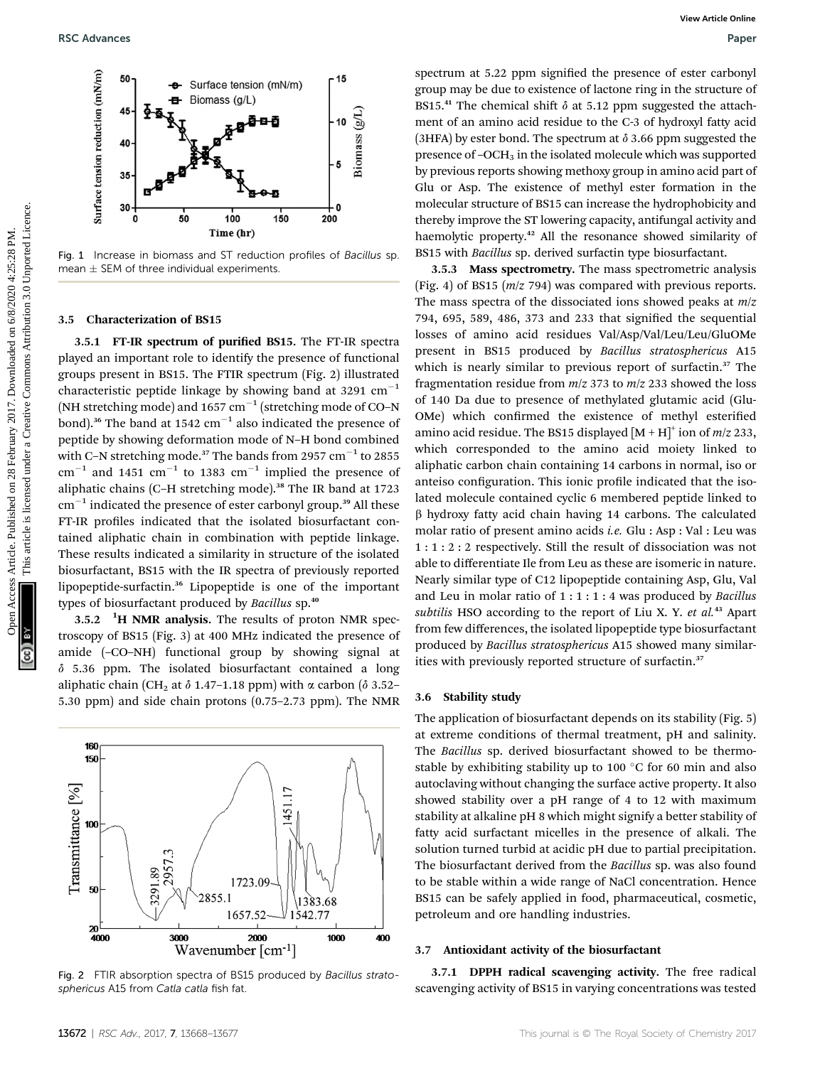

Fig. 1 Increase in biomass and ST reduction profiles of Bacillus sp. mean  $\pm$  SEM of three individual experiments.

#### 3.5 Characterization of BS15

3.5.1 FT-IR spectrum of purified BS15. The FT-IR spectra played an important role to identify the presence of functional groups present in BS15. The FTIR spectrum (Fig. 2) illustrated characteristic peptide linkage by showing band at 3291  $cm^{-1}$ (NH stretching mode) and  $1657 \text{ cm}^{-1}$  (stretching mode of CO–N bond).<sup>36</sup> The band at 1542  $cm^{-1}$  also indicated the presence of peptide by showing deformation mode of N–H bond combined with C-N stretching mode.<sup>37</sup> The bands from 2957  $cm^{-1}$  to 2855  $cm^{-1}$  and 1451  $cm^{-1}$  to 1383  $cm^{-1}$  implied the presence of aliphatic chains (C-H stretching mode).<sup>38</sup> The IR band at 1723  $cm^{-1}$  indicated the presence of ester carbonyl group.<sup>39</sup> All these FT-IR profiles indicated that the isolated biosurfactant contained aliphatic chain in combination with peptide linkage. These results indicated a similarity in structure of the isolated biosurfactant, BS15 with the IR spectra of previously reported lipopeptide-surfactin.<sup>36</sup> Lipopeptide is one of the important types of biosurfactant produced by Bacillus sp.<sup>40</sup>

3.5.2  $\mathrm{^{1}H}$  NMR analysis. The results of proton NMR spectroscopy of BS15 (Fig. 3) at 400 MHz indicated the presence of amide (–CO–NH) functional group by showing signal at  $\delta$  5.36 ppm. The isolated biosurfactant contained a long aliphatic chain (CH<sub>2</sub> at  $\delta$  1.47–1.18 ppm) with  $\alpha$  carbon ( $\delta$  3.52– 5.30 ppm) and side chain protons (0.75–2.73 ppm). The NMR



Fig. 2 FTIR absorption spectra of BS15 produced by Bacillus stratosphericus A15 from Catla catla fish fat.

spectrum at 5.22 ppm signified the presence of ester carbonyl group may be due to existence of lactone ring in the structure of BS15.<sup>41</sup> The chemical shift  $\delta$  at 5.12 ppm suggested the attachment of an amino acid residue to the C-3 of hydroxyl fatty acid (3HFA) by ester bond. The spectrum at  $\delta$  3.66 ppm suggested the presence of  $-OCH_3$  in the isolated molecule which was supported by previous reports showing methoxy group in amino acid part of Glu or Asp. The existence of methyl ester formation in the molecular structure of BS15 can increase the hydrophobicity and thereby improve the ST lowering capacity, antifungal activity and haemolytic property.<sup>42</sup> All the resonance showed similarity of BS15 with Bacillus sp. derived surfactin type biosurfactant.

3.5.3 Mass spectrometry. The mass spectrometric analysis (Fig. 4) of BS15 (m/z 794) was compared with previous reports. The mass spectra of the dissociated ions showed peaks at  $m/z$ 794, 695, 589, 486, 373 and 233 that signied the sequential losses of amino acid residues Val/Asp/Val/Leu/Leu/GluOMe present in BS15 produced by Bacillus stratosphericus A15 which is nearly similar to previous report of surfactin.<sup>37</sup> The fragmentation residue from  $m/z$  373 to  $m/z$  233 showed the loss of 140 Da due to presence of methylated glutamic acid (Glu-OMe) which confirmed the existence of methyl esterified amino acid residue. The BS15 displayed  $[M + H]^{+}$  ion of  $m/z$  233, which corresponded to the amino acid moiety linked to aliphatic carbon chain containing 14 carbons in normal, iso or anteiso configuration. This ionic profile indicated that the isolated molecule contained cyclic 6 membered peptide linked to  $\beta$  hydroxy fatty acid chain having 14 carbons. The calculated molar ratio of present amino acids i.e. Glu : Asp : Val : Leu was 1 : 1 : 2 : 2 respectively. Still the result of dissociation was not able to differentiate Ile from Leu as these are isomeric in nature. Nearly similar type of C12 lipopeptide containing Asp, Glu, Val and Leu in molar ratio of  $1:1:1:4$  was produced by *Bacillus* subtilis HSO according to the report of Liu X. Y. et al.<sup>43</sup> Apart from few differences, the isolated lipopeptide type biosurfactant produced by Bacillus stratosphericus A15 showed many similarities with previously reported structure of surfactin.<sup>37</sup> **Exchanges**<br>  $\frac{2}{3}$  **a** elements on the Resume of the Higherine Commons Article. Published on 28 February 2017. The stationary article is licensed under a stationary and the stationary 2017. The stationary 2017. The st

#### 3.6 Stability study

The application of biosurfactant depends on its stability (Fig. 5) at extreme conditions of thermal treatment, pH and salinity. The Bacillus sp. derived biosurfactant showed to be thermostable by exhibiting stability up to 100 $\degree$ C for 60 min and also autoclaving without changing the surface active property. It also showed stability over a pH range of 4 to 12 with maximum stability at alkaline pH 8 which might signify a better stability of fatty acid surfactant micelles in the presence of alkali. The solution turned turbid at acidic pH due to partial precipitation. The biosurfactant derived from the Bacillus sp. was also found to be stable within a wide range of NaCl concentration. Hence BS15 can be safely applied in food, pharmaceutical, cosmetic, petroleum and ore handling industries.

#### 3.7 Antioxidant activity of the biosurfactant

3.7.1 DPPH radical scavenging activity. The free radical scavenging activity of BS15 in varying concentrations was tested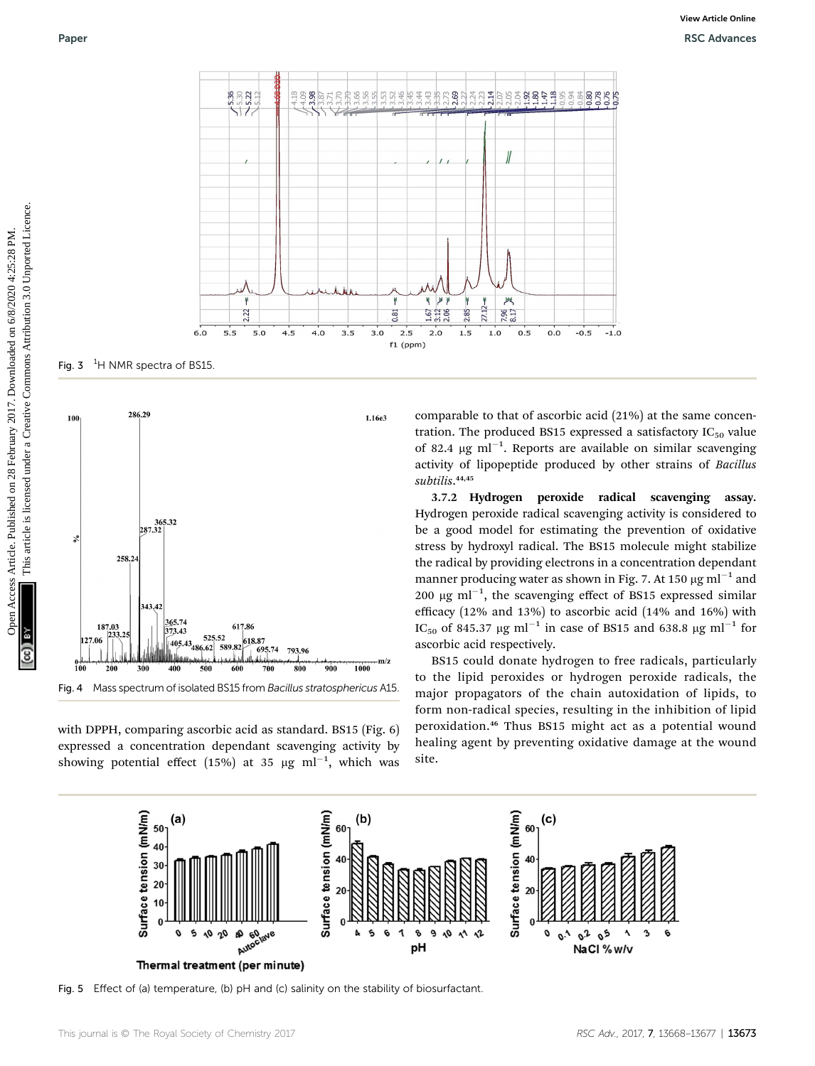

Fig. 3  $<sup>1</sup>H$  NMR spectra of BS15.</sup>



Fig. 4 Mass spectrum of isolated BS15 from Bacillus stratosphericus A15.

with DPPH, comparing ascorbic acid as standard. BS15 (Fig. 6) expressed a concentration dependant scavenging activity by showing potential effect (15%) at 35  $\mu$ g ml<sup>-1</sup>, which was comparable to that of ascorbic acid (21%) at the same concentration. The produced BS15 expressed a satisfactory  $IC_{50}$  value of 82.4  $\mu$ g ml<sup>-1</sup>. Reports are available on similar scavenging activity of lipopeptide produced by other strains of Bacillus subtilis. 44,45

3.7.2 Hydrogen peroxide radical scavenging assay. Hydrogen peroxide radical scavenging activity is considered to be a good model for estimating the prevention of oxidative stress by hydroxyl radical. The BS15 molecule might stabilize the radical by providing electrons in a concentration dependant manner producing water as shown in Fig. 7. At 150  $\mu$ g ml<sup>-1</sup> and 200  $\mu$ g ml<sup>-1</sup>, the scavenging effect of BS15 expressed similar efficacy (12% and 13%) to ascorbic acid (14% and 16%) with IC<sub>50</sub> of 845.37 µg ml<sup>-1</sup> in case of BS15 and 638.8 µg ml<sup>-1</sup> for ascorbic acid respectively.

BS15 could donate hydrogen to free radicals, particularly to the lipid peroxides or hydrogen peroxide radicals, the major propagators of the chain autoxidation of lipids, to form non-radical species, resulting in the inhibition of lipid peroxidation.<sup>46</sup> Thus BS15 might act as a potential wound healing agent by preventing oxidative damage at the wound site.



Fig. 5 Effect of (a) temperature, (b) pH and (c) salinity on the stability of biosurfactant.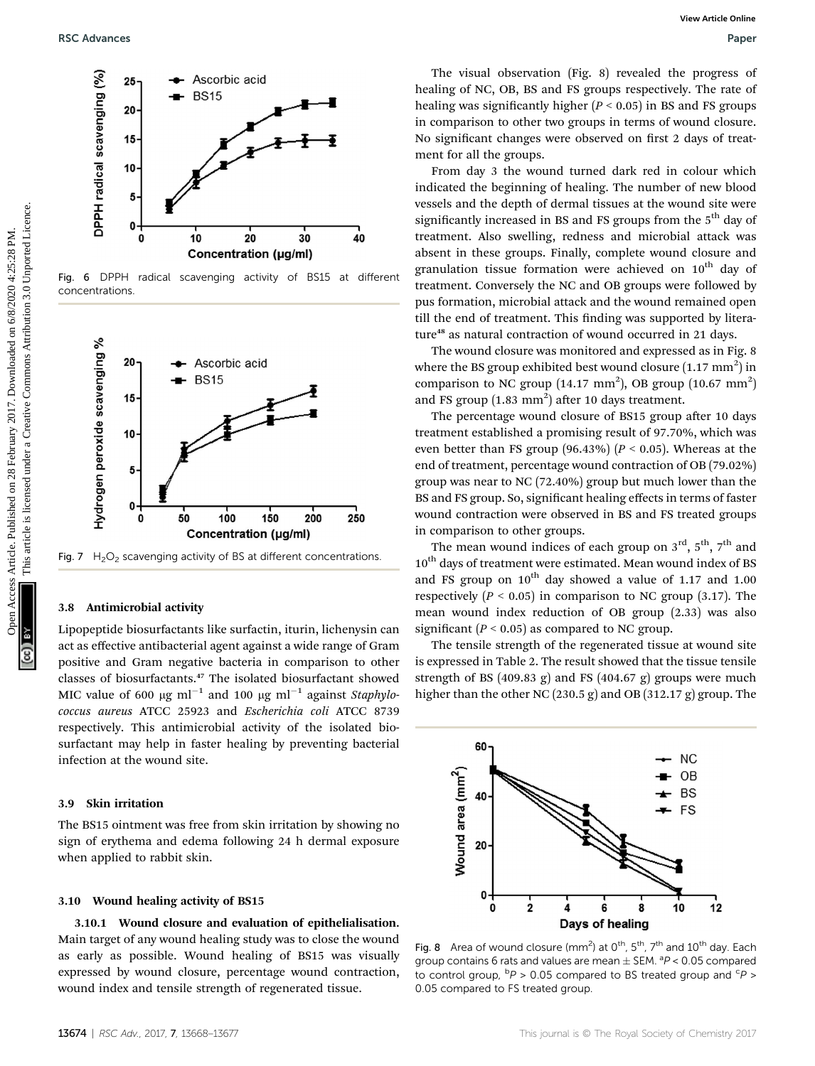

Fig. 6 DPPH radical scavenging activity of BS15 at different concentrations.



Fig. 7  $H_2O_2$  scavenging activity of BS at different concentrations.

#### 3.8 Antimicrobial activity

Lipopeptide biosurfactants like surfactin, iturin, lichenysin can act as effective antibacterial agent against a wide range of Gram positive and Gram negative bacteria in comparison to other classes of biosurfactants.<sup>47</sup> The isolated biosurfactant showed MIC value of 600  $\mu$ g ml<sup>-1</sup> and 100  $\mu$ g ml<sup>-1</sup> against *Staphylo*coccus aureus ATCC 25923 and Escherichia coli ATCC 8739 respectively. This antimicrobial activity of the isolated biosurfactant may help in faster healing by preventing bacterial infection at the wound site.

#### 3.9 Skin irritation

The BS15 ointment was free from skin irritation by showing no sign of erythema and edema following 24 h dermal exposure when applied to rabbit skin.

#### 3.10 Wound healing activity of BS15

3.10.1 Wound closure and evaluation of epithelialisation. Main target of any wound healing study was to close the wound as early as possible. Wound healing of BS15 was visually expressed by wound closure, percentage wound contraction, wound index and tensile strength of regenerated tissue.

The visual observation (Fig. 8) revealed the progress of healing of NC, OB, BS and FS groups respectively. The rate of healing was significantly higher  $(P < 0.05)$  in BS and FS groups in comparison to other two groups in terms of wound closure. No significant changes were observed on first 2 days of treatment for all the groups.

From day 3 the wound turned dark red in colour which indicated the beginning of healing. The number of new blood vessels and the depth of dermal tissues at the wound site were significantly increased in BS and FS groups from the  $5<sup>th</sup>$  day of treatment. Also swelling, redness and microbial attack was absent in these groups. Finally, complete wound closure and granulation tissue formation were achieved on  $10<sup>th</sup>$  day of treatment. Conversely the NC and OB groups were followed by pus formation, microbial attack and the wound remained open till the end of treatment. This finding was supported by literature<sup>48</sup> as natural contraction of wound occurred in 21 days.

The wound closure was monitored and expressed as in Fig. 8 where the BS group exhibited best wound closure  $(1.17\text{ mm}^2)$  in comparison to NC group (14.17 mm<sup>2</sup>), OB group (10.67 mm<sup>2</sup>) and FS group  $(1.83 \text{ mm}^2)$  after 10 days treatment.

The percentage wound closure of BS15 group after 10 days treatment established a promising result of 97.70%, which was even better than FS group (96.43%) ( $P < 0.05$ ). Whereas at the end of treatment, percentage wound contraction of OB (79.02%) group was near to NC (72.40%) group but much lower than the BS and FS group. So, significant healing effects in terms of faster wound contraction were observed in BS and FS treated groups in comparison to other groups.

The mean wound indices of each group on  $3<sup>rd</sup>$ ,  $5<sup>th</sup>$ ,  $7<sup>th</sup>$  and 10<sup>th</sup> days of treatment were estimated. Mean wound index of BS and FS group on  $10^{th}$  day showed a value of 1.17 and 1.00 respectively ( $P < 0.05$ ) in comparison to NC group (3.17). The mean wound index reduction of OB group (2.33) was also significant ( $P < 0.05$ ) as compared to NC group.

The tensile strength of the regenerated tissue at wound site is expressed in Table 2. The result showed that the tissue tensile strength of BS (409.83 g) and FS (404.67 g) groups were much higher than the other NC (230.5 g) and OB (312.17 g) group. The



Fig. 8 Area of wound closure (mm<sup>2</sup>) at  $0^{\text{th}}$ , 5<sup>th</sup>, 7<sup>th</sup> and 10<sup>th</sup> day. Each group contains 6 rats and values are mean  $\pm$  SEM.  $^{a}P$  < 0.05 compared to control group,  ${}^{b}P > 0.05$  compared to BS treated group and  ${}^{c}P >$ 0.05 compared to FS treated group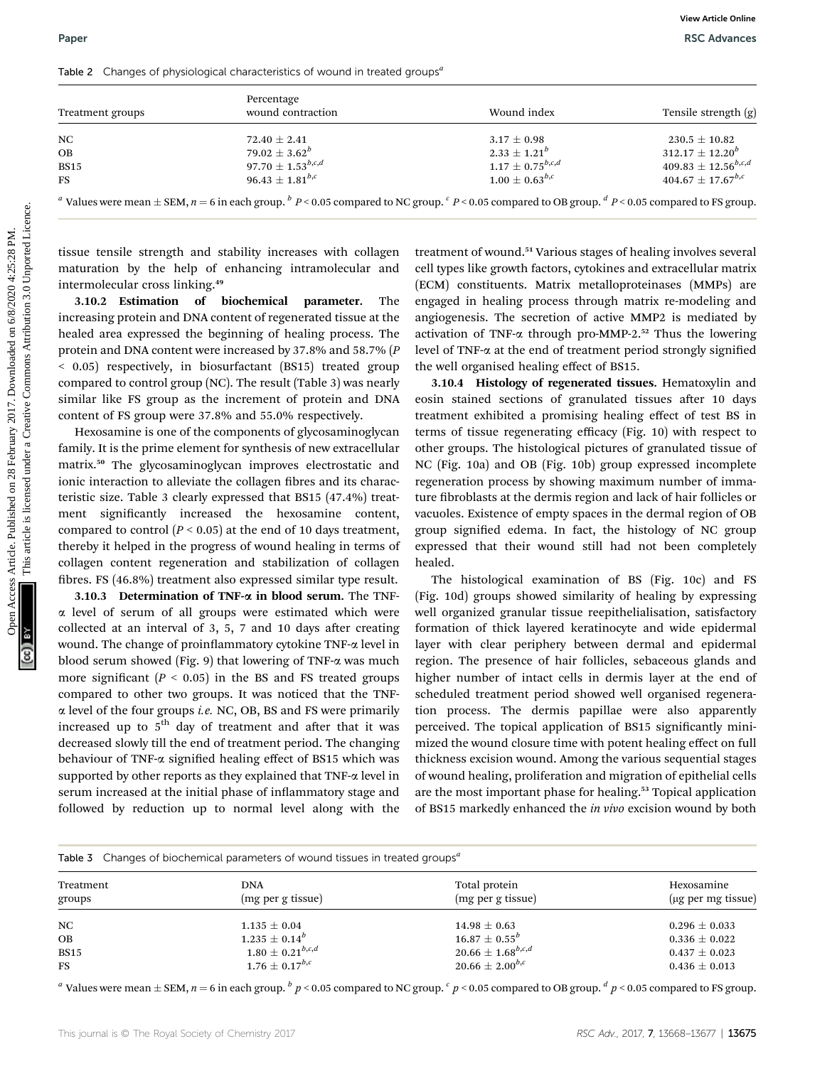|                                             |                                                                                                                               |                                                                                                                                                                                                     | <b>View Article Online</b>          |  |
|---------------------------------------------|-------------------------------------------------------------------------------------------------------------------------------|-----------------------------------------------------------------------------------------------------------------------------------------------------------------------------------------------------|-------------------------------------|--|
| Paper                                       |                                                                                                                               |                                                                                                                                                                                                     | <b>RSC Advances</b>                 |  |
|                                             | Table 2 Changes of physiological characteristics of wound in treated groups <sup>a</sup>                                      |                                                                                                                                                                                                     |                                     |  |
|                                             | Percentage                                                                                                                    |                                                                                                                                                                                                     |                                     |  |
| Treatment groups                            | wound contraction                                                                                                             | Wound index                                                                                                                                                                                         | Tensile strength (g)                |  |
| NC                                          | $72.40 \pm 2.41$                                                                                                              | $3.17 \pm 0.98$                                                                                                                                                                                     | $230.5 \pm 10.82$                   |  |
| OB                                          | 79.02 $\pm$ 3.62 <sup>b</sup>                                                                                                 | $2.33 \pm 1.21^b$                                                                                                                                                                                   | $312.17 \pm 12.20^b$                |  |
| <b>BS15</b>                                 | 97.70 $\pm$ 1.53 <sup>b,c,d</sup>                                                                                             | $1.17 \pm 0.75^{b,c,d}$                                                                                                                                                                             | $409.83 \pm 12.56$ <sup>b,c,d</sup> |  |
| <b>FS</b>                                   | 96.43 $\pm$ 1.81 <sup>b,c</sup>                                                                                               | $1.00 \pm 0.63^{b,c}$                                                                                                                                                                               | $404.67 \pm 17.67^{b,c}$            |  |
|                                             |                                                                                                                               | <sup>a</sup> Values were mean $\pm$ SEM, $n = 6$ in each group. <sup>b</sup> P < 0.05 compared to NC group. <sup>c</sup> P < 0.05 compared to OB group. <sup>d</sup> P < 0.05 compared to FS group. |                                     |  |
|                                             |                                                                                                                               |                                                                                                                                                                                                     |                                     |  |
|                                             | tissue tensile strength and stability increases with collagen                                                                 | treatment of wound. <sup>51</sup> Various stages of healing involves several                                                                                                                        |                                     |  |
|                                             | maturation by the help of enhancing intramolecular and                                                                        | cell types like growth factors, cytokines and extracellular matrix                                                                                                                                  |                                     |  |
| intermolecular cross linking. <sup>49</sup> |                                                                                                                               | (ECM) constituents. Matrix metalloproteinases (MMPs) are                                                                                                                                            |                                     |  |
| 3.10.2 Estimation of biochemical            | parameter.<br>The                                                                                                             | engaged in healing process through matrix re-modeling and                                                                                                                                           |                                     |  |
|                                             |                                                                                                                               |                                                                                                                                                                                                     |                                     |  |
|                                             | increasing protein and DNA content of regenerated tissue at the                                                               | angiogenesis. The secretion of active MMP2 is mediated by                                                                                                                                           |                                     |  |
|                                             | healed area expressed the beginning of healing process. The                                                                   | activation of TNF-a through pro-MMP-2. <sup>52</sup> Thus the lowering                                                                                                                              |                                     |  |
|                                             | protein and DNA content were increased by 37.8% and 58.7% (P                                                                  | level of TNF-a at the end of treatment period strongly signified                                                                                                                                    |                                     |  |
|                                             | < 0.05) respectively, in biosurfactant (BS15) treated group                                                                   | the well organised healing effect of BS15.                                                                                                                                                          |                                     |  |
|                                             | compared to control group (NC). The result (Table 3) was nearly                                                               | 3.10.4 Histology of regenerated tissues. Hematoxylin and                                                                                                                                            |                                     |  |
|                                             | similar like FS group as the increment of protein and DNA                                                                     | eosin stained sections of granulated tissues after 10 days                                                                                                                                          |                                     |  |
|                                             | content of FS group were 37.8% and 55.0% respectively.                                                                        | treatment exhibited a promising healing effect of test BS in                                                                                                                                        |                                     |  |
|                                             | Hexosamine is one of the components of glycosaminoglycan                                                                      | terms of tissue regenerating efficacy (Fig. 10) with respect to                                                                                                                                     |                                     |  |
|                                             | family. It is the prime element for synthesis of new extracellular                                                            | other groups. The histological pictures of granulated tissue of                                                                                                                                     |                                     |  |
|                                             | matrix. <sup>50</sup> The glycosaminoglycan improves electrostatic and                                                        | NC (Fig. 10a) and OB (Fig. 10b) group expressed incomplete                                                                                                                                          |                                     |  |
|                                             |                                                                                                                               |                                                                                                                                                                                                     |                                     |  |
|                                             | ionic interaction to alleviate the collagen fibres and its charac-<br>regeneration process by showing maximum number of imma- |                                                                                                                                                                                                     |                                     |  |
|                                             | teristic size. Table 3 clearly expressed that BS15 (47.4%) treat-                                                             | ture fibroblasts at the dermis region and lack of hair follicles or                                                                                                                                 |                                     |  |
| ment                                        | significantly increased the hexosamine content,                                                                               | vacuoles. Existence of empty spaces in the dermal region of OB                                                                                                                                      |                                     |  |
|                                             | compared to control ( $P < 0.05$ ) at the end of 10 days treatment,                                                           | group signified edema. In fact, the histology of NC group                                                                                                                                           |                                     |  |
|                                             | thereby it helped in the progress of wound healing in terms of                                                                | expressed that their wound still had not been completely                                                                                                                                            |                                     |  |
|                                             | collagen content regeneration and stabilization of collagen                                                                   | healed.                                                                                                                                                                                             |                                     |  |
|                                             | fibres. FS (46.8%) treatment also expressed similar type result.                                                              | The histological examination of BS (Fig. 10c) and FS                                                                                                                                                |                                     |  |
|                                             | 3.10.3 Determination of TNF- $\alpha$ in blood serum. The TNF-                                                                | (Fig. 10d) groups showed similarity of healing by expressing                                                                                                                                        |                                     |  |
|                                             | $\alpha$ level of serum of all groups were estimated which were                                                               | well organized granular tissue reepithelialisation, satisfactory                                                                                                                                    |                                     |  |
|                                             | collected at an interval of 3, 5, 7 and 10 days after creating                                                                | formation of thick layered keratinocyte and wide epidermal                                                                                                                                          |                                     |  |

3.10.3 Determination of TNF-a in blood serum. The TNF- $\alpha$  level of serum of all groups were estimated which were collected at an interval of  $3, 5, 7$  and  $10$  days after creating wound. The change of proinflammatory cytokine TNF- $\alpha$  level in blood serum showed (Fig. 9) that lowering of TNF- $\alpha$  was much more significant  $(P < 0.05)$  in the BS and FS treated groups compared to other two groups. It was noticed that the TNF- $\alpha$  level of the four groups *i.e.* NC, OB, BS and FS were primarily increased up to  $5<sup>th</sup>$  day of treatment and after that it was decreased slowly till the end of treatment period. The changing behaviour of TNF- $\alpha$  signified healing effect of BS15 which was supported by other reports as they explained that TNF- $\alpha$  level in serum increased at the initial phase of inflammatory stage and followed by reduction up to normal level along with the

The histological examination of BS (Fig. 10c) and FS (Fig. 10d) groups showed similarity of healing by expressing well organized granular tissue reepithelialisation, satisfactory formation of thick layered keratinocyte and wide epidermal layer with clear periphery between dermal and epidermal region. The presence of hair follicles, sebaceous glands and higher number of intact cells in dermis layer at the end of scheduled treatment period showed well organised regeneration process. The dermis papillae were also apparently perceived. The topical application of BS15 significantly minimized the wound closure time with potent healing effect on full thickness excision wound. Among the various sequential stages of wound healing, proliferation and migration of epithelial cells are the most important phase for healing.<sup>53</sup> Topical application of BS15 markedly enhanced the in vivo excision wound by both

| Table 3 Changes of biochemical parameters of wound tissues in treated groups <sup>a</sup> |  |  |
|-------------------------------------------------------------------------------------------|--|--|
|                                                                                           |  |  |

| Treatment<br>groups | <b>DNA</b><br>(mg per g tissue) | Total protein<br>(mg per g tissue) | Hexosamine<br>$(\mu g$ per mg tissue) |
|---------------------|---------------------------------|------------------------------------|---------------------------------------|
| NC                  | $1.135 \pm 0.04$                | $14.98 \pm 0.63$                   | $0.296 \pm 0.033$                     |
| OВ                  | $1.235 \pm 0.14^b$              | $16.87 \pm 0.55^{b}$               | $0.336 \pm 0.022$                     |
| <b>BS15</b>         | $1.80\pm0.21^{b,c,d}$           | $20.66 \pm 1.68^{b,c,d}$           | $0.437 \pm 0.023$                     |
| <b>FS</b>           | $1.76\pm0.17^{b,c}$             | 20.66 $\pm$ 2.00 $^{b,c}$          | $0.436 \pm 0.013$                     |

<sup>a</sup> Values were mean  $\pm$  SEM,  $n = 6$  in each group.  $\frac{b}{p}$   $\lt 0.05$  compared to NC group.  $\frac{c}{p}$   $\lt 0.05$  compared to DB group.  $\frac{d}{p}$   $\lt 0.05$  compared to FS group.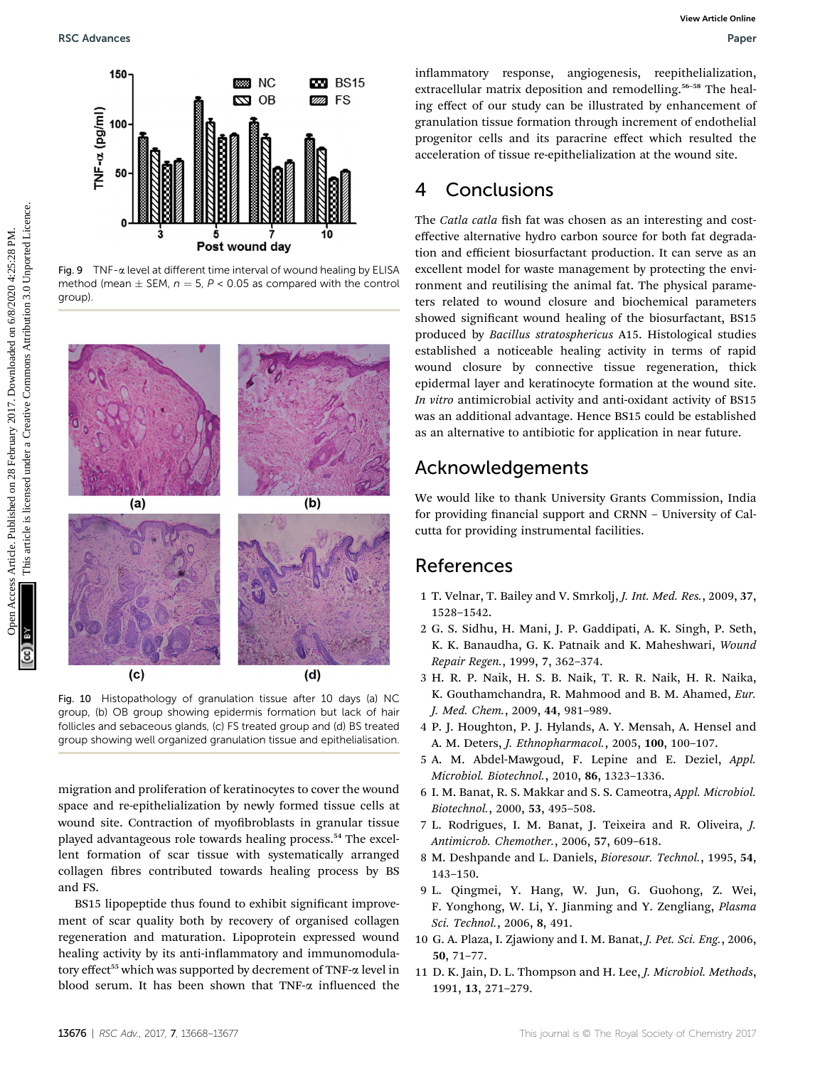

Fig.  $9$  TNF- $\alpha$  level at different time interval of wound healing by ELISA method (mean  $\pm$  SEM,  $n = 5$ ,  $P < 0.05$  as compared with the control group).



Fig. 10 Histopathology of granulation tissue after 10 days (a) NC group, (b) OB group showing epidermis formation but lack of hair follicles and sebaceous glands, (c) FS treated group and (d) BS treated group showing well organized granulation tissue and epithelialisation.

migration and proliferation of keratinocytes to cover the wound space and re-epithelialization by newly formed tissue cells at wound site. Contraction of myofibroblasts in granular tissue played advantageous role towards healing process.<sup>54</sup> The excellent formation of scar tissue with systematically arranged collagen fibres contributed towards healing process by BS and FS.

BS15 lipopeptide thus found to exhibit significant improvement of scar quality both by recovery of organised collagen regeneration and maturation. Lipoprotein expressed wound healing activity by its anti-inflammatory and immunomodulatory effect<sup>55</sup> which was supported by decrement of TNF- $\alpha$  level in blood serum. It has been shown that TNF- $\alpha$  influenced the

inflammatory response, angiogenesis, reepithelialization, extracellular matrix deposition and remodelling.<sup>56-58</sup> The healing effect of our study can be illustrated by enhancement of granulation tissue formation through increment of endothelial progenitor cells and its paracrine effect which resulted the acceleration of tissue re-epithelialization at the wound site.

# 4 Conclusions

The Catla catla fish fat was chosen as an interesting and costeffective alternative hydro carbon source for both fat degradation and efficient biosurfactant production. It can serve as an excellent model for waste management by protecting the environment and reutilising the animal fat. The physical parameters related to wound closure and biochemical parameters showed significant wound healing of the biosurfactant, BS15 produced by Bacillus stratosphericus A15. Histological studies established a noticeable healing activity in terms of rapid wound closure by connective tissue regeneration, thick epidermal layer and keratinocyte formation at the wound site. In vitro antimicrobial activity and anti-oxidant activity of BS15 was an additional advantage. Hence BS15 could be established as an alternative to antibiotic for application in near future.

# Acknowledgements

We would like to thank University Grants Commission, India for providing financial support and CRNN – University of Calcutta for providing instrumental facilities.

# References

- 1 T. Velnar, T. Bailey and V. Smrkolj, J. Int. Med. Res., 2009, 37, 1528–1542.
- 2 G. S. Sidhu, H. Mani, J. P. Gaddipati, A. K. Singh, P. Seth, K. K. Banaudha, G. K. Patnaik and K. Maheshwari, Wound Repair Regen., 1999, 7, 362–374.
- 3 H. R. P. Naik, H. S. B. Naik, T. R. R. Naik, H. R. Naika, K. Gouthamchandra, R. Mahmood and B. M. Ahamed, Eur. J. Med. Chem., 2009, 44, 981–989.
- 4 P. J. Houghton, P. J. Hylands, A. Y. Mensah, A. Hensel and A. M. Deters, J. Ethnopharmacol., 2005, 100, 100–107.
- 5 A. M. Abdel-Mawgoud, F. Lepine and E. Deziel, Appl. Microbiol. Biotechnol., 2010, 86, 1323–1336.
- 6 I. M. Banat, R. S. Makkar and S. S. Cameotra, Appl. Microbiol. Biotechnol., 2000, 53, 495–508.
- 7 L. Rodrigues, I. M. Banat, J. Teixeira and R. Oliveira, J. Antimicrob. Chemother., 2006, 57, 609–618.
- 8 M. Deshpande and L. Daniels, Bioresour. Technol., 1995, 54, 143–150.
- 9 L. Qingmei, Y. Hang, W. Jun, G. Guohong, Z. Wei, F. Yonghong, W. Li, Y. Jianming and Y. Zengliang, Plasma Sci. Technol., 2006, 8, 491.
- 10 G. A. Plaza, I. Zjawiony and I. M. Banat, J. Pet. Sci. Eng., 2006, 50, 71–77.
- 11 D. K. Jain, D. L. Thompson and H. Lee, J. Microbiol. Methods, 1991, 13, 271–279.